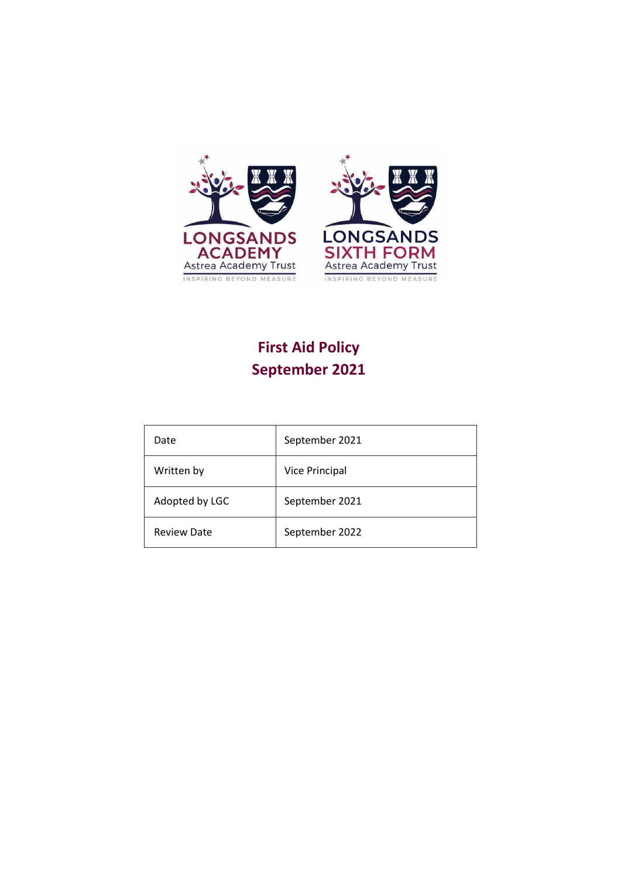

# **First Aid Policy September 2021**

| Date               | September 2021        |  |  |
|--------------------|-----------------------|--|--|
| Written by         | <b>Vice Principal</b> |  |  |
| Adopted by LGC     | September 2021        |  |  |
| <b>Review Date</b> | September 2022        |  |  |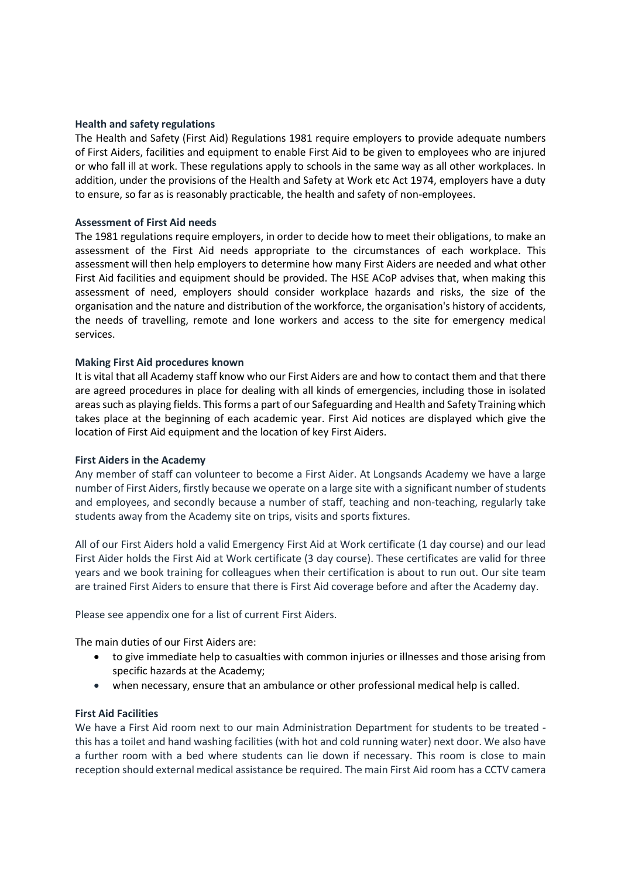## **Health and safety regulations**

The Health and Safety (First Aid) Regulations 1981 require employers to provide adequate numbers of First Aiders, facilities and equipment to enable First Aid to be given to employees who are injured or who fall ill at work. These regulations apply to schools in the same way as all other workplaces. In addition, under the provisions of the Health and Safety at Work etc Act 1974, employers have a duty to ensure, so far as is reasonably practicable, the health and safety of non-employees.

#### **Assessment of First Aid needs**

The 1981 regulations require employers, in order to decide how to meet their obligations, to make an assessment of the First Aid needs appropriate to the circumstances of each workplace. This assessment will then help employers to determine how many First Aiders are needed and what other First Aid facilities and equipment should be provided. The HSE ACoP advises that, when making this assessment of need, employers should consider workplace hazards and risks, the size of the organisation and the nature and distribution of the workforce, the organisation's history of accidents, the needs of travelling, remote and lone workers and access to the site for emergency medical services.

## **Making First Aid procedures known**

It is vital that all Academy staff know who our First Aiders are and how to contact them and that there are agreed procedures in place for dealing with all kinds of emergencies, including those in isolated areas such as playing fields. This forms a part of our Safeguarding and Health and Safety Training which takes place at the beginning of each academic year. First Aid notices are displayed which give the location of First Aid equipment and the location of key First Aiders.

#### **First Aiders in the Academy**

Any member of staff can volunteer to become a First Aider. At Longsands Academy we have a large number of First Aiders, firstly because we operate on a large site with a significant number of students and employees, and secondly because a number of staff, teaching and non-teaching, regularly take students away from the Academy site on trips, visits and sports fixtures.

All of our First Aiders hold a valid Emergency First Aid at Work certificate (1 day course) and our lead First Aider holds the First Aid at Work certificate (3 day course). These certificates are valid for three years and we book training for colleagues when their certification is about to run out. Our site team are trained First Aiders to ensure that there is First Aid coverage before and after the Academy day.

Please see appendix one for a list of current First Aiders.

The main duties of our First Aiders are:

- to give immediate help to casualties with common injuries or illnesses and those arising from specific hazards at the Academy;
- when necessary, ensure that an ambulance or other professional medical help is called.

#### **First Aid Facilities**

We have a First Aid room next to our main Administration Department for students to be treated this has a toilet and hand washing facilities (with hot and cold running water) next door. We also have a further room with a bed where students can lie down if necessary. This room is close to main reception should external medical assistance be required. The main First Aid room has a CCTV camera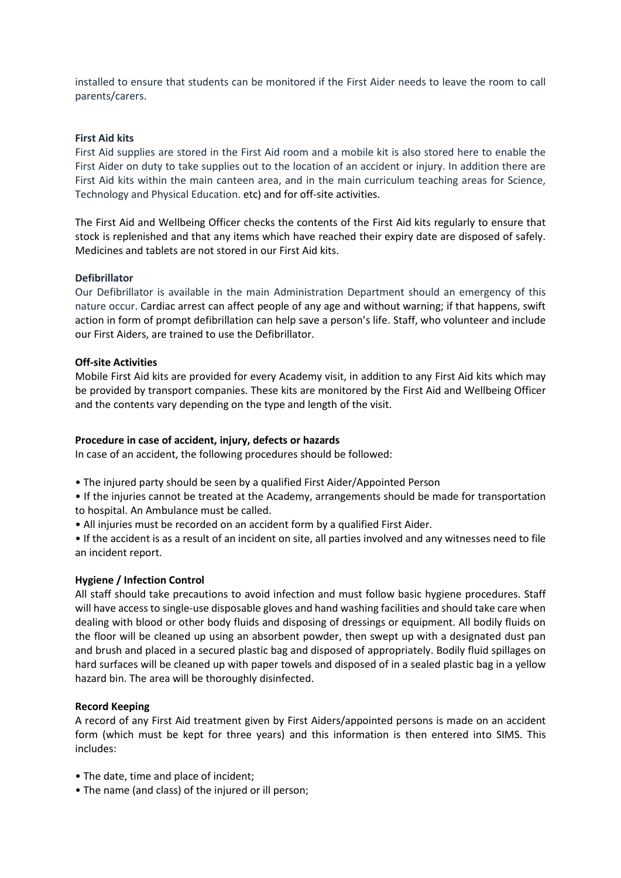installed to ensure that students can be monitored if the First Aider needs to leave the room to call parents/carers.

## **First Aid kits**

First Aid supplies are stored in the First Aid room and a mobile kit is also stored here to enable the First Aider on duty to take supplies out to the location of an accident or injury. In addition there are First Aid kits within the main canteen area, and in the main curriculum teaching areas for Science, Technology and Physical Education. etc) and for off-site activities.

The First Aid and Wellbeing Officer checks the contents of the First Aid kits regularly to ensure that stock is replenished and that any items which have reached their expiry date are disposed of safely. Medicines and tablets are not stored in our First Aid kits.

## **Defibrillator**

Our Defibrillator is available in the main Administration Department should an emergency of this nature occur. Cardiac arrest can affect people of any age and without warning; if that happens, swift action in form of prompt defibrillation can help save a person's life. Staff, who volunteer and include our First Aiders, are trained to use the Defibrillator.

## **Off-site Activities**

Mobile First Aid kits are provided for every Academy visit, in addition to any First Aid kits which may be provided by transport companies. These kits are monitored by the First Aid and Wellbeing Officer and the contents vary depending on the type and length of the visit.

#### **Procedure in case of accident, injury, defects or hazards**

In case of an accident, the following procedures should be followed:

- The injured party should be seen by a qualified First Aider/Appointed Person
- If the injuries cannot be treated at the Academy, arrangements should be made for transportation to hospital. An Ambulance must be called.
- All injuries must be recorded on an accident form by a qualified First Aider.

• If the accident is as a result of an incident on site, all parties involved and any witnesses need to file an incident report.

## **Hygiene / Infection Control**

All staff should take precautions to avoid infection and must follow basic hygiene procedures. Staff will have accessto single-use disposable gloves and hand washing facilities and should take care when dealing with blood or other body fluids and disposing of dressings or equipment. All bodily fluids on the floor will be cleaned up using an absorbent powder, then swept up with a designated dust pan and brush and placed in a secured plastic bag and disposed of appropriately. Bodily fluid spillages on hard surfaces will be cleaned up with paper towels and disposed of in a sealed plastic bag in a yellow hazard bin. The area will be thoroughly disinfected.

#### **Record Keeping**

A record of any First Aid treatment given by First Aiders/appointed persons is made on an accident form (which must be kept for three years) and this information is then entered into SIMS. This includes:

- The date, time and place of incident;
- The name (and class) of the injured or ill person;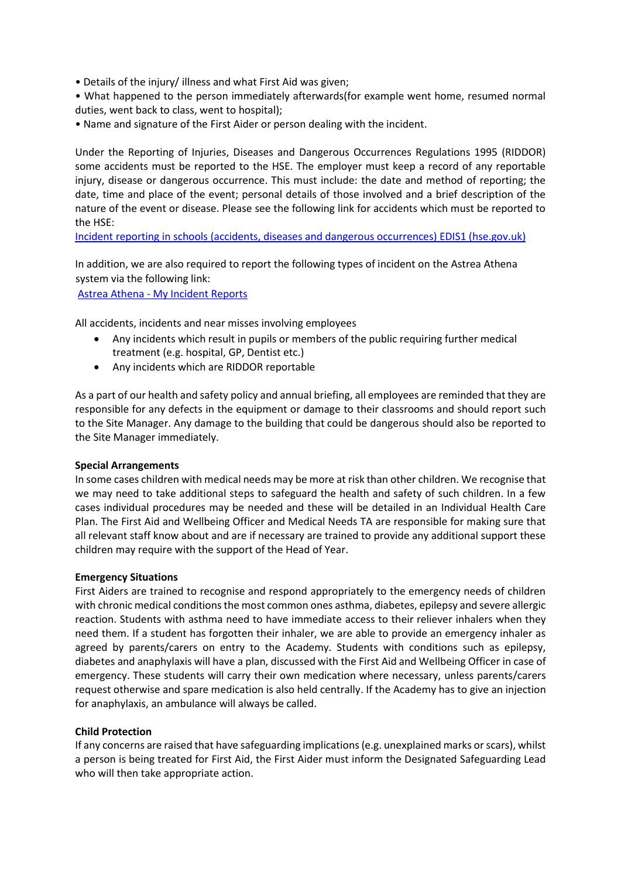- Details of the injury/ illness and what First Aid was given;
- What happened to the person immediately afterwards(for example went home, resumed normal duties, went back to class, went to hospital);
- Name and signature of the First Aider or person dealing with the incident.

Under the Reporting of Injuries, Diseases and Dangerous Occurrences Regulations 1995 (RIDDOR) some accidents must be reported to the HSE. The employer must keep a record of any reportable injury, disease or dangerous occurrence. This must include: the date and method of reporting; the date, time and place of the event; personal details of those involved and a brief description of the nature of the event or disease. Please see the following link for accidents which must be reported to the HSE:

[Incident reporting in schools \(accidents, diseases and dangerous occurrences\) EDIS1 \(hse.gov.uk\)](https://www.hse.gov.uk/pubns/edis1.pdf)

In addition, we are also required to report the following types of incident on the Astrea Athena system via the following link:

Astrea Athena - [My Incident Reports](https://astreaathena.net/incidents)

All accidents, incidents and near misses involving employees

- Any incidents which result in pupils or members of the public requiring further medical treatment (e.g. hospital, GP, Dentist etc.)
- Any incidents which are RIDDOR reportable

As a part of our health and safety policy and annual briefing, all employees are reminded that they are responsible for any defects in the equipment or damage to their classrooms and should report such to the Site Manager. Any damage to the building that could be dangerous should also be reported to the Site Manager immediately.

#### **Special Arrangements**

In some cases children with medical needs may be more at risk than other children. We recognise that we may need to take additional steps to safeguard the health and safety of such children. In a few cases individual procedures may be needed and these will be detailed in an Individual Health Care Plan. The First Aid and Wellbeing Officer and Medical Needs TA are responsible for making sure that all relevant staff know about and are if necessary are trained to provide any additional support these children may require with the support of the Head of Year.

#### **Emergency Situations**

First Aiders are trained to recognise and respond appropriately to the emergency needs of children with chronic medical conditions the most common ones asthma, diabetes, epilepsy and severe allergic reaction. Students with asthma need to have immediate access to their reliever inhalers when they need them. If a student has forgotten their inhaler, we are able to provide an emergency inhaler as agreed by parents/carers on entry to the Academy. Students with conditions such as epilepsy, diabetes and anaphylaxis will have a plan, discussed with the First Aid and Wellbeing Officer in case of emergency. These students will carry their own medication where necessary, unless parents/carers request otherwise and spare medication is also held centrally. If the Academy has to give an injection for anaphylaxis, an ambulance will always be called.

#### **Child Protection**

If any concerns are raised that have safeguarding implications (e.g. unexplained marks or scars), whilst a person is being treated for First Aid, the First Aider must inform the Designated Safeguarding Lead who will then take appropriate action.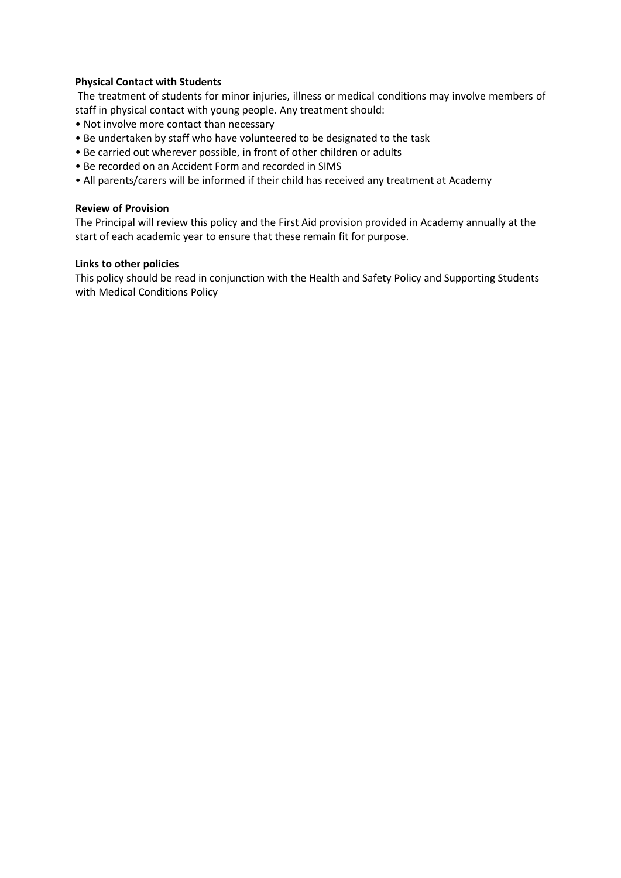## **Physical Contact with Students**

The treatment of students for minor injuries, illness or medical conditions may involve members of staff in physical contact with young people. Any treatment should:

- Not involve more contact than necessary
- Be undertaken by staff who have volunteered to be designated to the task
- Be carried out wherever possible, in front of other children or adults
- Be recorded on an Accident Form and recorded in SIMS
- All parents/carers will be informed if their child has received any treatment at Academy

## **Review of Provision**

The Principal will review this policy and the First Aid provision provided in Academy annually at the start of each academic year to ensure that these remain fit for purpose.

## **Links to other policies**

This policy should be read in conjunction with the Health and Safety Policy and Supporting Students with Medical Conditions Policy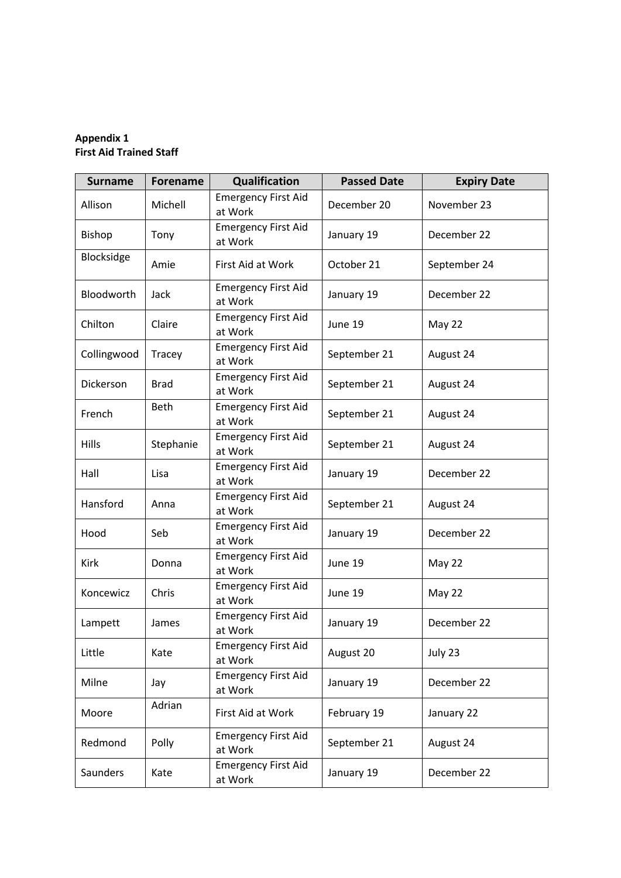## **Appendix 1 First Aid Trained Staff**

| <b>Surname</b> | <b>Forename</b> | Qualification                         | <b>Passed Date</b> | <b>Expiry Date</b> |
|----------------|-----------------|---------------------------------------|--------------------|--------------------|
| Allison        | Michell         | <b>Emergency First Aid</b><br>at Work | December 20        | November 23        |
| <b>Bishop</b>  | Tony            | <b>Emergency First Aid</b><br>at Work | January 19         | December 22        |
| Blocksidge     | Amie            | First Aid at Work                     | October 21         | September 24       |
| Bloodworth     | Jack            | <b>Emergency First Aid</b><br>at Work | January 19         | December 22        |
| Chilton        | Claire          | <b>Emergency First Aid</b><br>at Work | June 19            | May 22             |
| Collingwood    | Tracey          | <b>Emergency First Aid</b><br>at Work | September 21       | August 24          |
| Dickerson      | <b>Brad</b>     | <b>Emergency First Aid</b><br>at Work | September 21       | August 24          |
| French         | <b>Beth</b>     | <b>Emergency First Aid</b><br>at Work | September 21       | August 24          |
| Hills          | Stephanie       | <b>Emergency First Aid</b><br>at Work | September 21       | August 24          |
| Hall           | Lisa            | <b>Emergency First Aid</b><br>at Work | January 19         | December 22        |
| Hansford       | Anna            | <b>Emergency First Aid</b><br>at Work | September 21       | August 24          |
| Hood           | Seb             | <b>Emergency First Aid</b><br>at Work | January 19         | December 22        |
| Kirk           | Donna           | <b>Emergency First Aid</b><br>at Work | June 19            | May 22             |
| Koncewicz      | Chris           | <b>Emergency First Aid</b><br>at Work | June 19            | May 22             |
| Lampett        | James           | <b>Emergency First Aid</b><br>at Work | January 19         | December 22        |
| Little         | Kate            | <b>Emergency First Aid</b><br>at Work | August 20          | July 23            |
| Milne          | Jay             | <b>Emergency First Aid</b><br>at Work | January 19         | December 22        |
| Moore          | Adrian          | First Aid at Work                     | February 19        | January 22         |
| Redmond        | Polly           | <b>Emergency First Aid</b><br>at Work | September 21       | August 24          |
| Saunders       | Kate            | <b>Emergency First Aid</b><br>at Work | January 19         | December 22        |